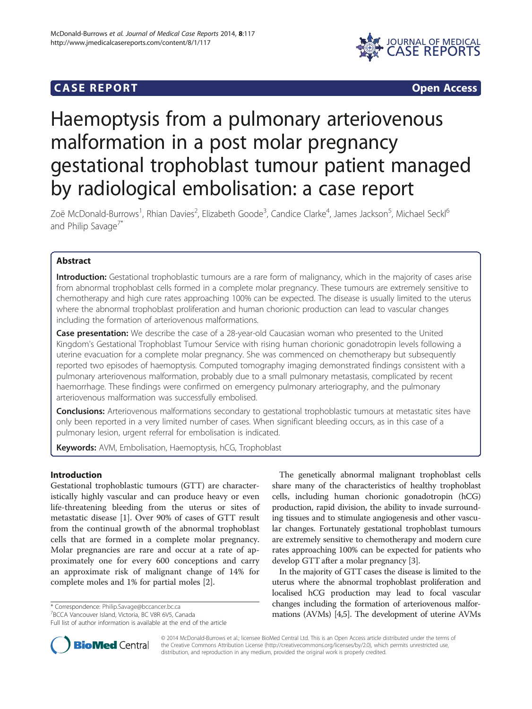# **CASE REPORT CASE REPORT**



# Haemoptysis from a pulmonary arteriovenous malformation in a post molar pregnancy gestational trophoblast tumour patient managed by radiological embolisation: a case report

Zoë McDonald-Burrows<sup>1</sup>, Rhian Davies<sup>2</sup>, Elizabeth Goode<sup>3</sup>, Candice Clarke<sup>4</sup>, James Jackson<sup>5</sup>, Michael Seckl<sup>6</sup> and Philip Savage<sup>7\*</sup>

# Abstract

Introduction: Gestational trophoblastic tumours are a rare form of malignancy, which in the majority of cases arise from abnormal trophoblast cells formed in a complete molar pregnancy. These tumours are extremely sensitive to chemotherapy and high cure rates approaching 100% can be expected. The disease is usually limited to the uterus where the abnormal trophoblast proliferation and human chorionic production can lead to vascular changes including the formation of arteriovenous malformations.

**Case presentation:** We describe the case of a 28-year-old Caucasian woman who presented to the United Kingdom's Gestational Trophoblast Tumour Service with rising human chorionic gonadotropin levels following a uterine evacuation for a complete molar pregnancy. She was commenced on chemotherapy but subsequently reported two episodes of haemoptysis. Computed tomography imaging demonstrated findings consistent with a pulmonary arteriovenous malformation, probably due to a small pulmonary metastasis, complicated by recent haemorrhage. These findings were confirmed on emergency pulmonary arteriography, and the pulmonary arteriovenous malformation was successfully embolised.

Conclusions: Arteriovenous malformations secondary to gestational trophoblastic tumours at metastatic sites have only been reported in a very limited number of cases. When significant bleeding occurs, as in this case of a pulmonary lesion, urgent referral for embolisation is indicated.

Keywords: AVM, Embolisation, Haemoptysis, hCG, Trophoblast

# Introduction

Gestational trophoblastic tumours (GTT) are characteristically highly vascular and can produce heavy or even life-threatening bleeding from the uterus or sites of metastatic disease [[1](#page-3-0)]. Over 90% of cases of GTT result from the continual growth of the abnormal trophoblast cells that are formed in a complete molar pregnancy. Molar pregnancies are rare and occur at a rate of approximately one for every 600 conceptions and carry an approximate risk of malignant change of 14% for complete moles and 1% for partial moles [\[2](#page-3-0)].

\* Correspondence: [Philip.Savage@bccancer.bc.ca](mailto:Philip.Savage@bccancer.bc.ca) <sup>7</sup>

The genetically abnormal malignant trophoblast cells share many of the characteristics of healthy trophoblast cells, including human chorionic gonadotropin (hCG) production, rapid division, the ability to invade surrounding tissues and to stimulate angiogenesis and other vascular changes. Fortunately gestational trophoblast tumours are extremely sensitive to chemotherapy and modern cure rates approaching 100% can be expected for patients who develop GTT after a molar pregnancy [[3](#page-3-0)].

In the majority of GTT cases the disease is limited to the uterus where the abnormal trophoblast proliferation and localised hCG production may lead to focal vascular changes including the formation of arteriovenous malformations (AVMs) [\[4,5\]](#page-3-0). The development of uterine AVMs



© 2014 McDonald-Burrows et al.; licensee BioMed Central Ltd. This is an Open Access article distributed under the terms of the Creative Commons Attribution License [\(http://creativecommons.org/licenses/by/2.0\)](http://creativecommons.org/licenses/by/2.0), which permits unrestricted use, distribution, and reproduction in any medium, provided the original work is properly credited.

<sup>&</sup>lt;sup>7</sup>BCCA Vancouver Island, Victoria, BC V8R 6V5, Canada

Full list of author information is available at the end of the article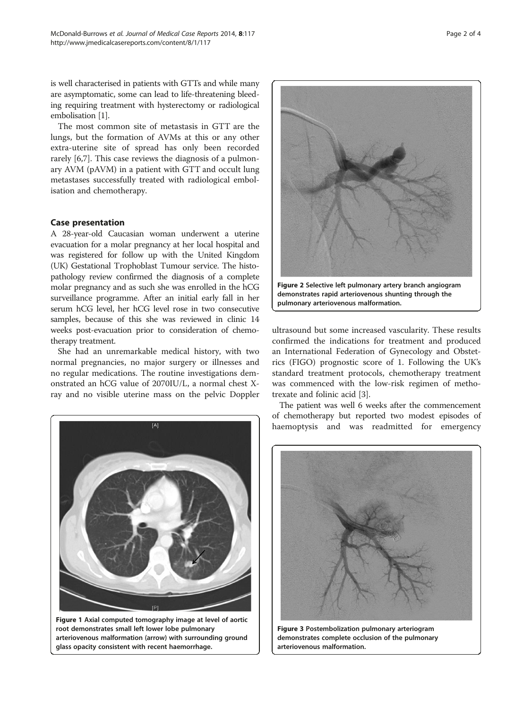<span id="page-1-0"></span>is well characterised in patients with GTTs and while many are asymptomatic, some can lead to life-threatening bleeding requiring treatment with hysterectomy or radiological embolisation [\[1\]](#page-3-0).

The most common site of metastasis in GTT are the lungs, but the formation of AVMs at this or any other extra-uterine site of spread has only been recorded rarely [[6,7\]](#page-3-0). This case reviews the diagnosis of a pulmonary AVM (pAVM) in a patient with GTT and occult lung metastases successfully treated with radiological embolisation and chemotherapy.

## Case presentation

A 28-year-old Caucasian woman underwent a uterine evacuation for a molar pregnancy at her local hospital and was registered for follow up with the United Kingdom (UK) Gestational Trophoblast Tumour service. The histopathology review confirmed the diagnosis of a complete molar pregnancy and as such she was enrolled in the hCG surveillance programme. After an initial early fall in her serum hCG level, her hCG level rose in two consecutive samples, because of this she was reviewed in clinic 14 weeks post-evacuation prior to consideration of chemotherapy treatment.

She had an unremarkable medical history, with two normal pregnancies, no major surgery or illnesses and no regular medications. The routine investigations demonstrated an hCG value of 2070IU/L, a normal chest Xray and no visible uterine mass on the pelvic Doppler



Figure 1 Axial computed tomography image at level of aortic root demonstrates small left lower lobe pulmonary arteriovenous malformation (arrow) with surrounding ground glass opacity consistent with recent haemorrhage.



ultrasound but some increased vascularity. These results confirmed the indications for treatment and produced an International Federation of Gynecology and Obstetrics (FIGO) prognostic score of 1. Following the UK's standard treatment protocols, chemotherapy treatment was commenced with the low-risk regimen of methotrexate and folinic acid [[3\]](#page-3-0).

The patient was well 6 weeks after the commencement of chemotherapy but reported two modest episodes of haemoptysis and was readmitted for emergency

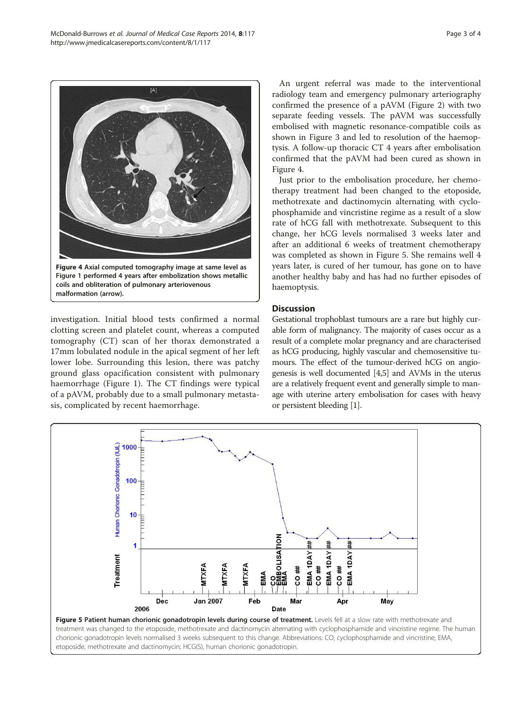investigation. Initial blood tests confirmed a normal clotting screen and platelet count, whereas a computed tomography (CT) scan of her thorax demonstrated a 17mm lobulated nodule in the apical segment of her left lower lobe. Surrounding this lesion, there was patchy ground glass opacification consistent with pulmonary haemorrhage (Figure [1](#page-1-0)). The CT findings were typical of a pAVM, probably due to a small pulmonary metastasis, complicated by recent haemorrhage.

An urgent referral was made to the interventional radiology team and emergency pulmonary arteriography confirmed the presence of a pAVM (Figure [2\)](#page-1-0) with two separate feeding vessels. The pAVM was successfully embolised with magnetic resonance-compatible coils as shown in Figure [3](#page-1-0) and led to resolution of the haemoptysis. A follow-up thoracic CT 4 years after embolisation confirmed that the pAVM had been cured as shown in Figure 4.

Just prior to the embolisation procedure, her chemotherapy treatment had been changed to the etoposide, methotrexate and dactinomycin alternating with cyclophosphamide and vincristine regime as a result of a slow rate of hCG fall with methotrexate. Subsequent to this change, her hCG levels normalised 3 weeks later and after an additional 6 weeks of treatment chemotherapy was completed as shown in Figure 5. She remains well 4 years later, is cured of her tumour, has gone on to have another healthy baby and has had no further episodes of haemoptysis.

# **Discussion**

Gestational trophoblast tumours are a rare but highly curable form of malignancy. The majority of cases occur as a result of a complete molar pregnancy and are characterised as hCG producing, highly vascular and chemosensitive tumours. The effect of the tumour-derived hCG on angiogenesis is well documented [\[4,5\]](#page-3-0) and AVMs in the uterus are a relatively frequent event and generally simple to manage with uterine artery embolisation for cases with heavy or persistent bleeding [\[1](#page-3-0)].